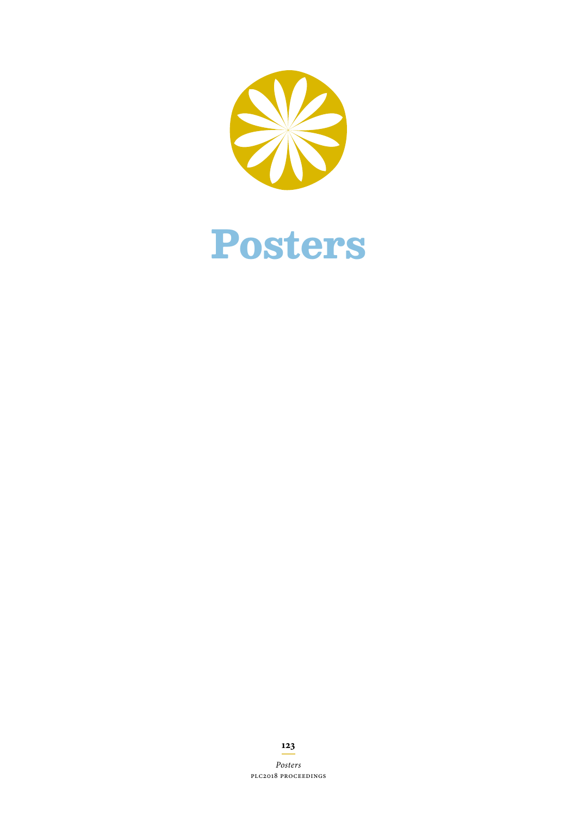



*Posters* PLC2018 proceedings

**123**